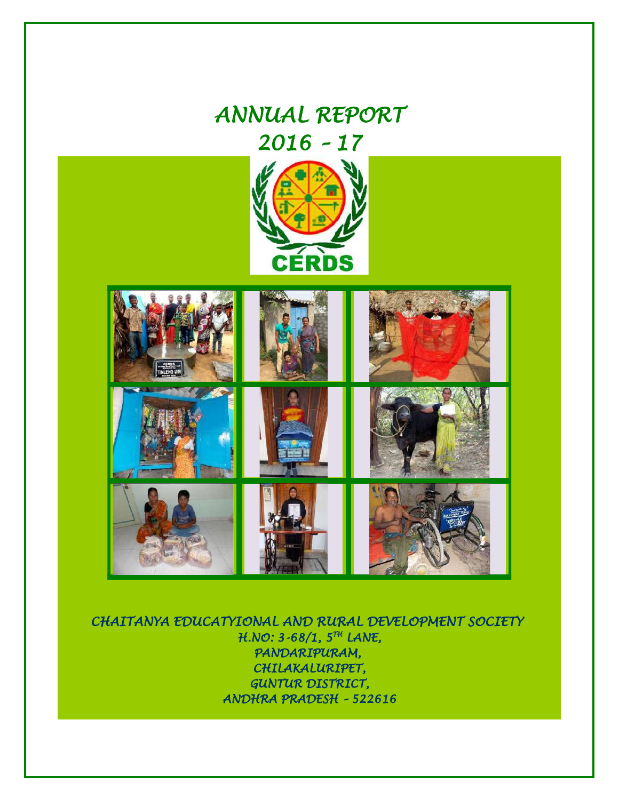# *ANNUAL REPORT 2016 – 17* **CERDS**

 *CHAITANYA EDUCATYIONAL AND RURAL DEVELOPMENT SOCIETY H.NO: 3-68/1, 5TH LANE, PANDARIPURAM, CHILAKALURIPET, GUNTUR DISTRICT, ANDHRA PRADESH – 522616*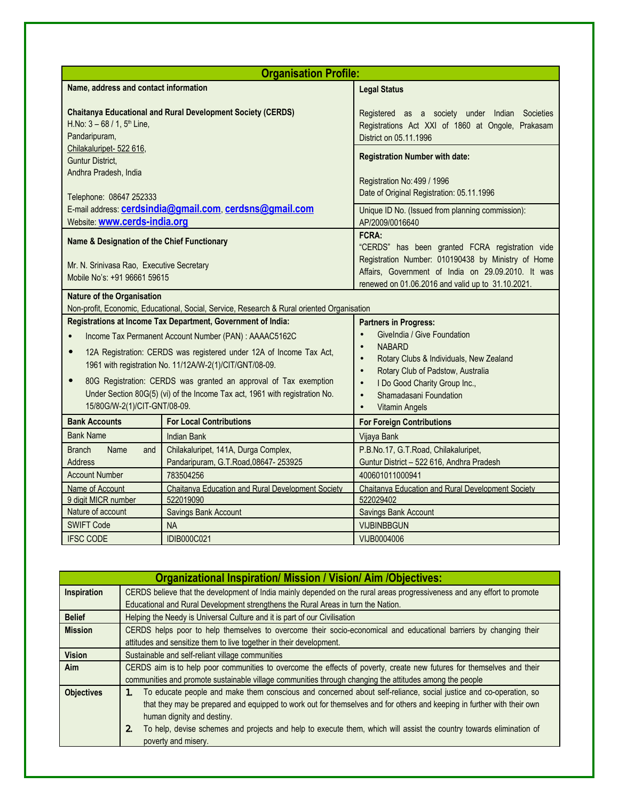| <b>Organisation Profile:</b>                                                                                                                                                                 |                                                                                            |                                                                                                                                                                                                                           |  |
|----------------------------------------------------------------------------------------------------------------------------------------------------------------------------------------------|--------------------------------------------------------------------------------------------|---------------------------------------------------------------------------------------------------------------------------------------------------------------------------------------------------------------------------|--|
| Name, address and contact information                                                                                                                                                        |                                                                                            | <b>Legal Status</b>                                                                                                                                                                                                       |  |
| <b>Chaitanya Educational and Rural Development Society (CERDS)</b><br>H.No: $3 - 68 / 1$ , $5th$ Line,<br>Pandaripuram,<br>Chilakaluripet- 522 616,<br>Guntur District,                      |                                                                                            | Registered as a society under Indian Societies<br>Registrations Act XXI of 1860 at Ongole, Prakasam<br>District on 05.11.1996<br><b>Registration Number with date:</b>                                                    |  |
| Andhra Pradesh, India<br>Telephone: 08647 252333                                                                                                                                             |                                                                                            | Registration No: 499 / 1996<br>Date of Original Registration: 05.11.1996                                                                                                                                                  |  |
| Website: www.cerds-india.org                                                                                                                                                                 | E-mail address: <b>cerdsindia@gmail.com</b> , cerdsns@gmail.com                            | Unique ID No. (Issued from planning commission):<br>AP/2009/0016640                                                                                                                                                       |  |
| Name & Designation of the Chief Functionary<br>Mr. N. Srinivasa Rao, Executive Secretary<br>Mobile No's: +91 96661 59615                                                                     |                                                                                            | FCRA:<br>"CERDS" has been granted FCRA registration vide<br>Registration Number: 010190438 by Ministry of Home<br>Affairs, Government of India on 29.09.2010. It was<br>renewed on 01.06.2016 and valid up to 31.10.2021. |  |
| <b>Nature of the Organisation</b>                                                                                                                                                            | Non-profit, Economic, Educational, Social, Service, Research & Rural oriented Organisation |                                                                                                                                                                                                                           |  |
| Registrations at Income Tax Department, Government of India:                                                                                                                                 |                                                                                            | <b>Partners in Progress:</b>                                                                                                                                                                                              |  |
| Income Tax Permanent Account Number (PAN) : AAAAC5162C<br>$\bullet$                                                                                                                          |                                                                                            | GiveIndia / Give Foundation<br>$\bullet$                                                                                                                                                                                  |  |
| 12A Registration: CERDS was registered under 12A of Income Tax Act,<br>$\bullet$<br>1961 with registration No. 11/12A/W-2(1)/CIT/GNT/08-09.                                                  |                                                                                            | <b>NABARD</b><br>$\bullet$<br>Rotary Clubs & Individuals, New Zealand<br>$\bullet$<br>Rotary Club of Padstow, Australia<br>$\bullet$                                                                                      |  |
| 80G Registration: CERDS was granted an approval of Tax exemption<br>$\bullet$<br>Under Section 80G(5) (vi) of the Income Tax act, 1961 with registration No.<br>15/80G/W-2(1)/CIT-GNT/08-09. |                                                                                            | I Do Good Charity Group Inc.,<br>$\bullet$<br>Shamadasani Foundation<br>$\bullet$<br><b>Vitamin Angels</b><br>$\bullet$                                                                                                   |  |
| <b>Bank Accounts</b>                                                                                                                                                                         | <b>For Local Contributions</b>                                                             | <b>For Foreign Contributions</b>                                                                                                                                                                                          |  |
| <b>Bank Name</b>                                                                                                                                                                             | <b>Indian Bank</b>                                                                         | Vijaya Bank                                                                                                                                                                                                               |  |
| <b>Branch</b><br>Name<br>and<br><b>Address</b>                                                                                                                                               | Chilakaluripet, 141A, Durga Complex,<br>Pandaripuram, G.T.Road, 08647-253925               | P.B.No.17, G.T.Road, Chilakaluripet,<br>Guntur District - 522 616, Andhra Pradesh                                                                                                                                         |  |
| <b>Account Number</b>                                                                                                                                                                        | 783504256                                                                                  | 400601011000941                                                                                                                                                                                                           |  |
| Name of Account<br><b>Chaitanya Education and Rural Development Society</b>                                                                                                                  |                                                                                            | <b>Chaitanya Education and Rural Development Society</b>                                                                                                                                                                  |  |
| 9 digit MICR number<br>Nature of account                                                                                                                                                     | 522019090<br>Savings Bank Account                                                          | 522029402<br>Savings Bank Account                                                                                                                                                                                         |  |
| <b>SWIFT Code</b>                                                                                                                                                                            | <b>NA</b>                                                                                  | <b>VIJBINBBGUN</b>                                                                                                                                                                                                        |  |
| <b>IFSC CODE</b>                                                                                                                                                                             | <b>IDIB000C021</b>                                                                         | VIJB0004006                                                                                                                                                                                                               |  |

|                            | <b>Organizational Inspiration/ Mission / Vision/ Aim /Objectives:</b>                                                       |  |  |
|----------------------------|-----------------------------------------------------------------------------------------------------------------------------|--|--|
| Inspiration                | CERDS believe that the development of India mainly depended on the rural areas progressiveness and any effort to promote    |  |  |
|                            | Educational and Rural Development strengthens the Rural Areas in turn the Nation.                                           |  |  |
| <b>Belief</b>              | Helping the Needy is Universal Culture and it is part of our Civilisation                                                   |  |  |
| <b>Mission</b>             | CERDS helps poor to help themselves to overcome their socio-economical and educational barriers by changing their           |  |  |
|                            | attitudes and sensitize them to live together in their development.                                                         |  |  |
| <b>Vision</b>              | Sustainable and self-reliant village communities                                                                            |  |  |
| <b>Aim</b>                 | CERDS aim is to help poor communities to overcome the effects of poverty, create new futures for themselves and their       |  |  |
|                            | communities and promote sustainable village communities through changing the attitudes among the people                     |  |  |
| <b>Objectives</b>          | To educate people and make them conscious and concerned about self-reliance, social justice and co-operation, so<br>$1_{-}$ |  |  |
|                            | that they may be prepared and equipped to work out for themselves and for others and keeping in further with their own      |  |  |
| human dignity and destiny. |                                                                                                                             |  |  |
|                            | To help, devise schemes and projects and help to execute them, which will assist the country towards elimination of<br>2.   |  |  |
|                            | poverty and misery.                                                                                                         |  |  |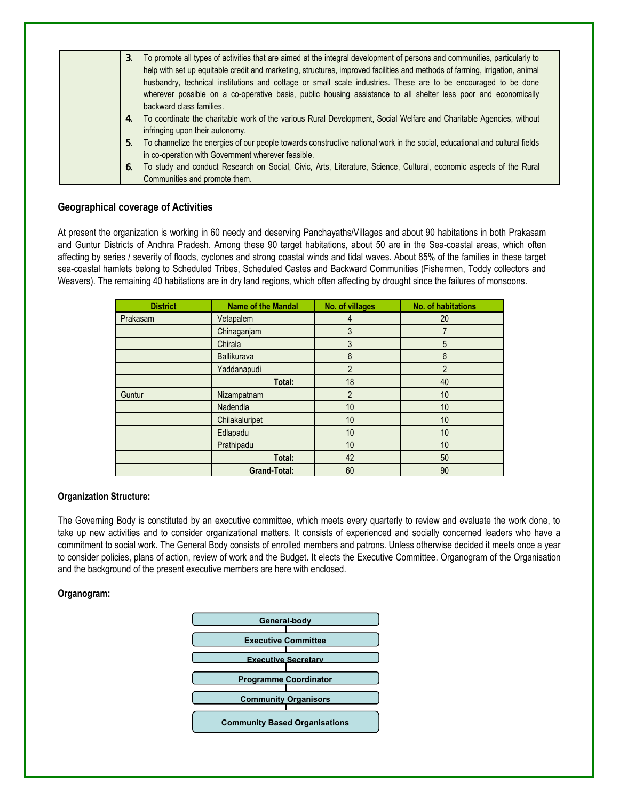| To promote all types of activities that are aimed at the integral development of persons and communities, particularly to<br>3.<br>help with set up equitable credit and marketing, structures, improved facilities and methods of farming, irrigation, animal<br>husbandry, technical institutions and cottage or small scale industries. These are to be encouraged to be done<br>wherever possible on a co-operative basis, public housing assistance to all shelter less poor and economically<br>backward class families. |
|--------------------------------------------------------------------------------------------------------------------------------------------------------------------------------------------------------------------------------------------------------------------------------------------------------------------------------------------------------------------------------------------------------------------------------------------------------------------------------------------------------------------------------|
| To coordinate the charitable work of the various Rural Development, Social Welfare and Charitable Agencies, without<br>4.<br>infringing upon their autonomy.                                                                                                                                                                                                                                                                                                                                                                   |
| To channelize the energies of our people towards constructive national work in the social, educational and cultural fields<br>5.<br>in co-operation with Government wherever feasible.                                                                                                                                                                                                                                                                                                                                         |
| To study and conduct Research on Social, Civic, Arts, Literature, Science, Cultural, economic aspects of the Rural<br>6.<br>Communities and promote them.                                                                                                                                                                                                                                                                                                                                                                      |

### **Geographical coverage of Activities**

At present the organization is working in 60 needy and deserving Panchayaths/Villages and about 90 habitations in both Prakasam and Guntur Districts of Andhra Pradesh. Among these 90 target habitations, about 50 are in the Sea-coastal areas, which often affecting by series / severity of floods, cyclones and strong coastal winds and tidal waves. About 85% of the families in these target sea-coastal hamlets belong to Scheduled Tribes, Scheduled Castes and Backward Communities (Fishermen, Toddy collectors and Weavers). The remaining 40 habitations are in dry land regions, which often affecting by drought since the failures of monsoons.

| <b>District</b> | <b>Name of the Mandal</b> | No. of villages | No. of habitations |
|-----------------|---------------------------|-----------------|--------------------|
| Prakasam        | Vetapalem                 | 4               | 20                 |
|                 | Chinaganjam               | 3               |                    |
|                 | Chirala                   | 3               | 5                  |
|                 | <b>Ballikurava</b>        | 6               | 6                  |
|                 | Yaddanapudi               | 2               | $\overline{2}$     |
|                 | Total:                    | 18              | 40                 |
| Guntur          | Nizampatnam               | $\mathfrak{p}$  | 10                 |
|                 | Nadendla                  | 10              | 10                 |
|                 | Chilakaluripet            | 10              | 10                 |
|                 | Edlapadu                  | 10              | 10                 |
|                 | Prathipadu                | 10              | 10                 |
|                 | Total:                    | 42              | 50                 |
|                 | <b>Grand-Total:</b>       | 60              | 90                 |

### **Organization Structure:**

The Governing Body is constituted by an executive committee, which meets every quarterly to review and evaluate the work done, to take up new activities and to consider organizational matters. It consists of experienced and socially concerned leaders who have a commitment to social work. The General Body consists of enrolled members and patrons. Unless otherwise decided it meets once a year to consider policies, plans of action, review of work and the Budget. It elects the Executive Committee. Organogram of the Organisation and the background of the present executive members are here with enclosed.

### **Organogram:**

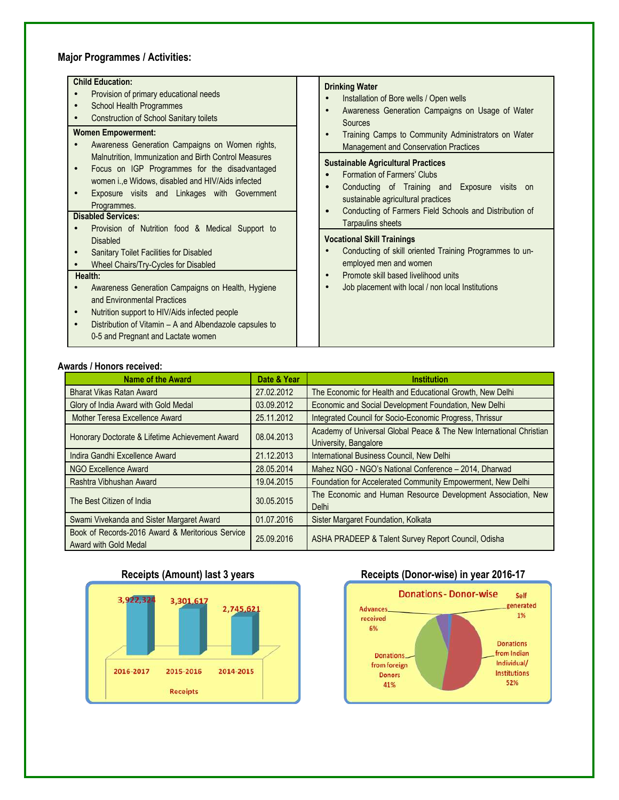## **Major Programmes / Activities:**

| <b>Child Education:</b><br>Provision of primary educational needs<br>School Health Programmes<br><b>Construction of School Sanitary toilets</b>                                                                                                                                                                                                                                              | <b>Drinking Water</b><br>Installation of Bore wells / Open wells<br>$\bullet$<br>Awareness Generation Campaigns on Usage of Water<br>$\bullet$<br>Sources                                                                                                                                                                                                                                         |
|----------------------------------------------------------------------------------------------------------------------------------------------------------------------------------------------------------------------------------------------------------------------------------------------------------------------------------------------------------------------------------------------|---------------------------------------------------------------------------------------------------------------------------------------------------------------------------------------------------------------------------------------------------------------------------------------------------------------------------------------------------------------------------------------------------|
| <b>Women Empowerment:</b><br>Awareness Generation Campaigns on Women rights,<br>Malnutrition, Immunization and Birth Control Measures<br>Focus on IGP Programmes for the disadvantaged<br>women i., e Widows, disabled and HIV/Aids infected<br>Exposure visits and Linkages with Government<br>Programmes.<br><b>Disabled Services:</b><br>Provision of Nutrition food & Medical Support to | Training Camps to Community Administrators on Water<br>$\bullet$<br><b>Management and Conservation Practices</b><br><b>Sustainable Agricultural Practices</b><br>Formation of Farmers' Clubs<br>C<br>Conducting of Training and Exposure visits on<br>C<br>sustainable agricultural practices<br>Conducting of Farmers Field Schools and Distribution of<br>$\bullet$<br><b>Tarpaulins sheets</b> |
| <b>Disabled</b><br>Sanitary Toilet Facilities for Disabled<br>Wheel Chairs/Try-Cycles for Disabled<br>Health:<br>Awareness Generation Campaigns on Health, Hygiene<br>and Environmental Practices<br>Nutrition support to HIV/Aids infected people<br>Distribution of Vitamin - A and Albendazole capsules to<br>0-5 and Pregnant and Lactate women                                          | <b>Vocational Skill Trainings</b><br>Conducting of skill oriented Training Programmes to un-<br>$\epsilon$<br>employed men and women<br>Promote skill based livelihood units<br>$\bullet$<br>Job placement with local / non local Institutions<br>$\bullet$                                                                                                                                       |

### **Awards / Honors received:**

| <b>Name of the Award</b>                                                  | Date & Year | <b>Institution</b>                                                                           |
|---------------------------------------------------------------------------|-------------|----------------------------------------------------------------------------------------------|
| <b>Bharat Vikas Ratan Award</b>                                           | 27.02.2012  | The Economic for Health and Educational Growth, New Delhi                                    |
| Glory of India Award with Gold Medal                                      | 03.09.2012  | Economic and Social Development Foundation, New Delhi                                        |
| Mother Teresa Excellence Award                                            | 25.11.2012  | Integrated Council for Socio-Economic Progress, Thrissur                                     |
| Honorary Doctorate & Lifetime Achievement Award                           | 08.04.2013  | Academy of Universal Global Peace & The New International Christian<br>University, Bangalore |
| Indira Gandhi Excellence Award                                            | 21.12.2013  | International Business Council, New Delhi                                                    |
| NGO Excellence Award                                                      | 28.05.2014  | Mahez NGO - NGO's National Conference - 2014, Dharwad                                        |
| Rashtra Vibhushan Award                                                   | 19.04.2015  | Foundation for Accelerated Community Empowerment, New Delhi                                  |
| The Best Citizen of India                                                 | 30.05.2015  | The Economic and Human Resource Development Association, New<br>Delhi                        |
| Swami Vivekanda and Sister Margaret Award                                 | 01.07.2016  | Sister Margaret Foundation, Kolkata                                                          |
| Book of Records-2016 Award & Meritorious Service<br>Award with Gold Medal | 25.09.2016  | ASHA PRADEEP & Talent Survey Report Council, Odisha                                          |



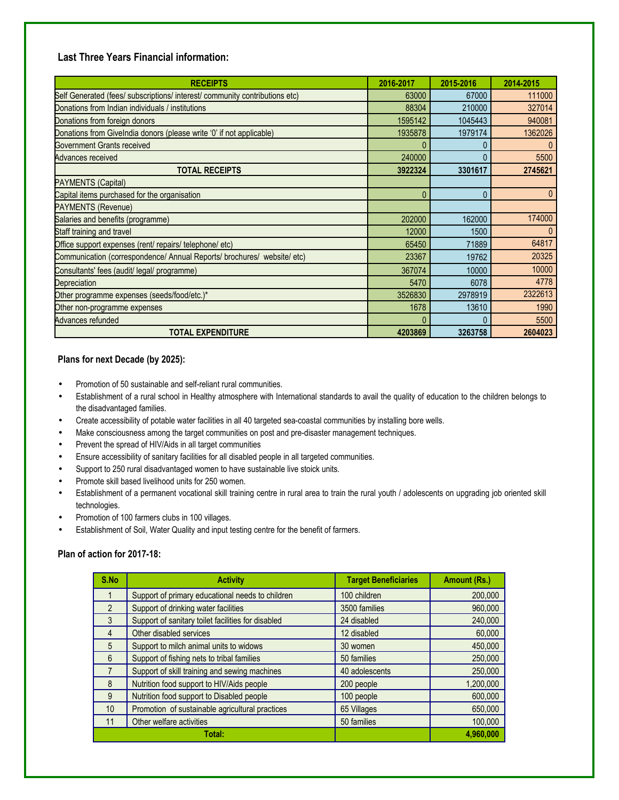### **Last Three Years Financial information:**

| <b>RECEIPTS</b>                                                             | 2016-2017 | 2015-2016 | 2014-2015 |
|-----------------------------------------------------------------------------|-----------|-----------|-----------|
| Self Generated (fees/ subscriptions/ interest/ community contributions etc) | 63000     | 67000     | 111000    |
| Donations from Indian individuals / institutions                            | 88304     | 210000    | 327014    |
| Donations from foreign donors                                               | 1595142   | 1045443   | 940081    |
| Donations from Givelndia donors (please write '0' if not applicable)        | 1935878   | 1979174   | 1362026   |
| Government Grants received                                                  |           |           |           |
| <b>Advances received</b>                                                    | 240000    | N         | 5500      |
| TOTAL RECEIPTS                                                              | 3922324   | 3301617   | 2745621   |
| <b>PAYMENTS (Capital)</b>                                                   |           |           |           |
| Capital items purchased for the organisation                                |           | 0         |           |
| <b>PAYMENTS (Revenue)</b>                                                   |           |           |           |
| Salaries and benefits (programme)                                           | 202000    | 162000    | 174000    |
| Staff training and travel                                                   | 12000     | 1500      | $\Omega$  |
| Office support expenses (rent/ repairs/ telephone/ etc)                     | 65450     | 71889     | 64817     |
| Communication (correspondence/ Annual Reports/ brochures/ website/ etc)     | 23367     | 19762     | 20325     |
| Consultants' fees (audit/ legal/ programme)                                 | 367074    | 10000     | 10000     |
| Depreciation                                                                | 5470      | 6078      | 4778      |
| Other programme expenses (seeds/food/etc.)*                                 | 3526830   | 2978919   | 2322613   |
| Other non-programme expenses                                                | 1678      | 13610     | 1990      |
| Advances refunded                                                           |           |           | 5500      |
| <b>TOTAL EXPENDITURE</b>                                                    | 4203869   | 3263758   | 2604023   |

### **Plans for next Decade (by 2025):**

- Promotion of 50 sustainable and self-reliant rural communities.
- Establishment of a rural school in Healthy atmosphere with International standards to avail the quality of education to the children belongs to the disadvantaged families.
- Create accessibility of potable water facilities in all 40 targeted sea-coastal communities by installing bore wells.
- Make consciousness among the target communities on post and pre-disaster management techniques.
- Prevent the spread of HIV/Aids in all target communities
- Ensure accessibility of sanitary facilities for all disabled people in all targeted communities.
- Support to 250 rural disadvantaged women to have sustainable live stoick units.
- Promote skill based livelihood units for 250 women.
- Establishment of a permanent vocational skill training centre in rural area to train the rural youth / adolescents on upgrading job oriented skill technologies.
- Promotion of 100 farmers clubs in 100 villages.
- Establishment of Soil, Water Quality and input testing centre for the benefit of farmers.

### **Plan of action for 2017-18:**

| S.No             | <b>Activity</b>                                    | <b>Target Beneficiaries</b> | Amount (Rs.) |
|------------------|----------------------------------------------------|-----------------------------|--------------|
|                  | Support of primary educational needs to children   | 100 children                | 200,000      |
| $\mathfrak{D}$   | Support of drinking water facilities               | 3500 families               | 960,000      |
| $\mathcal{E}$    | Support of sanitary toilet facilities for disabled | 24 disabled                 | 240,000      |
| 4                | Other disabled services                            | 12 disabled                 | 60,000       |
| $\overline{5}$   | Support to milch animal units to widows            | 30 women                    | 450.000      |
| $6 \overline{6}$ | Support of fishing nets to tribal families         | 50 families                 | 250,000      |
|                  | Support of skill training and sewing machines      | 40 adolescents              | 250,000      |
| 8                | Nutrition food support to HIV/Aids people          | 200 people                  | 1,200,000    |
| 9                | Nutrition food support to Disabled people          | 100 people                  | 600,000      |
| 10 <sup>1</sup>  | Promotion of sustainable agricultural practices    | 65 Villages                 | 650,000      |
| 11               | Other welfare activities                           | 50 families                 | 100,000      |
|                  | Total:                                             |                             | 4.960.000    |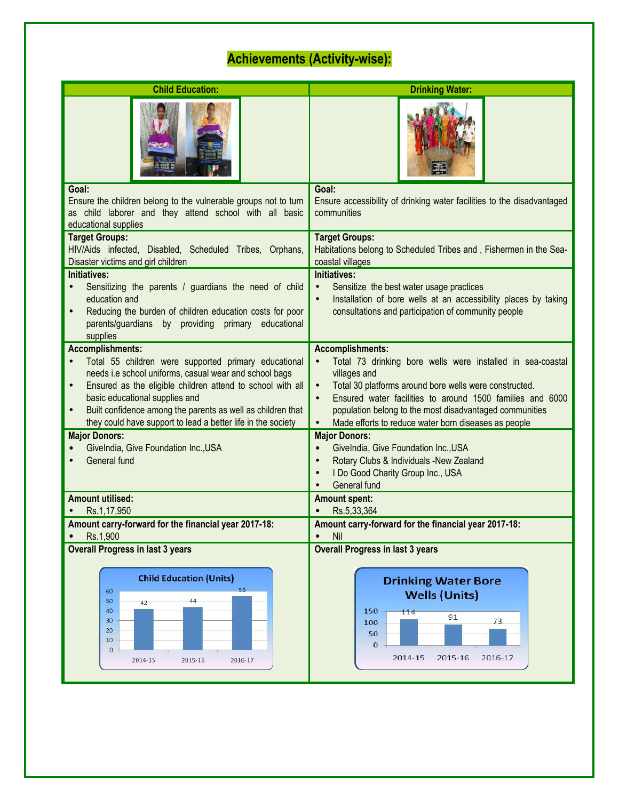# **Achievements (Activity-wise):**

| <b>Child Education:</b>                                                                                                                                                                                                                                                                                                                                                                            | <b>Drinking Water:</b>                                                                                                                                                                                                                                                                                                                                                                 |  |
|----------------------------------------------------------------------------------------------------------------------------------------------------------------------------------------------------------------------------------------------------------------------------------------------------------------------------------------------------------------------------------------------------|----------------------------------------------------------------------------------------------------------------------------------------------------------------------------------------------------------------------------------------------------------------------------------------------------------------------------------------------------------------------------------------|--|
|                                                                                                                                                                                                                                                                                                                                                                                                    |                                                                                                                                                                                                                                                                                                                                                                                        |  |
| Goal:<br>Ensure the children belong to the vulnerable groups not to turn<br>as child laborer and they attend school with all basic<br>educational supplies                                                                                                                                                                                                                                         | Goal:<br>Ensure accessibility of drinking water facilities to the disadvantaged<br>communities                                                                                                                                                                                                                                                                                         |  |
| <b>Target Groups:</b><br>HIV/Aids infected, Disabled, Scheduled Tribes, Orphans,<br>Disaster victims and girl children                                                                                                                                                                                                                                                                             | <b>Target Groups:</b><br>Habitations belong to Scheduled Tribes and, Fishermen in the Sea-<br>coastal villages                                                                                                                                                                                                                                                                         |  |
| Initiatives:<br>Sensitizing the parents / guardians the need of child<br>education and<br>Reducing the burden of children education costs for poor<br>parents/guardians by providing primary educational<br>supplies                                                                                                                                                                               | Initiatives:<br>Sensitize the best water usage practices<br>$\bullet$<br>Installation of bore wells at an accessibility places by taking<br>$\bullet$<br>consultations and participation of community people                                                                                                                                                                           |  |
| <b>Accomplishments:</b><br>Total 55 children were supported primary educational<br>$\bullet$<br>needs i.e school uniforms, casual wear and school bags<br>Ensured as the eligible children attend to school with all<br>$\bullet$<br>basic educational supplies and<br>Built confidence among the parents as well as children that<br>they could have support to lead a better life in the society | <b>Accomplishments:</b><br>Total 73 drinking bore wells were installed in sea-coastal<br>$\bullet$<br>villages and<br>Total 30 platforms around bore wells were constructed.<br>$\bullet$<br>Ensured water facilities to around 1500 families and 6000<br>$\bullet$<br>population belong to the most disadvantaged communities<br>Made efforts to reduce water born diseases as people |  |
| <b>Major Donors:</b><br>Givelndia, Give Foundation Inc., USA<br>General fund                                                                                                                                                                                                                                                                                                                       | <b>Major Donors:</b><br>Givelndia, Give Foundation Inc., USA<br>$\bullet$<br>Rotary Clubs & Individuals -New Zealand<br>$\bullet$<br>I Do Good Charity Group Inc., USA<br>$\bullet$<br>General fund                                                                                                                                                                                    |  |
| <b>Amount utilised:</b><br>Rs.1,17,950<br>Amount carry-forward for the financial year 2017-18:                                                                                                                                                                                                                                                                                                     | <b>Amount spent:</b><br>Rs.5,33,364<br>Amount carry-forward for the financial year 2017-18:                                                                                                                                                                                                                                                                                            |  |
| Rs.1,900<br>٠<br><b>Overall Progress in last 3 years</b>                                                                                                                                                                                                                                                                                                                                           | Nil<br>$\bullet$<br><b>Overall Progress in last 3 years</b>                                                                                                                                                                                                                                                                                                                            |  |
| <b>Child Education (Units)</b><br>60<br>50<br>44<br>42<br>40<br>30<br>20<br>10<br>$\bf 0$<br>2014-15<br>2015-16<br>2016-17                                                                                                                                                                                                                                                                         | <b>Drinking Water Bore</b><br><b>Wells (Units)</b><br>150<br>114<br>91<br>73<br>100<br>50<br>0<br>2015-16<br>2014-15<br>2016-17                                                                                                                                                                                                                                                        |  |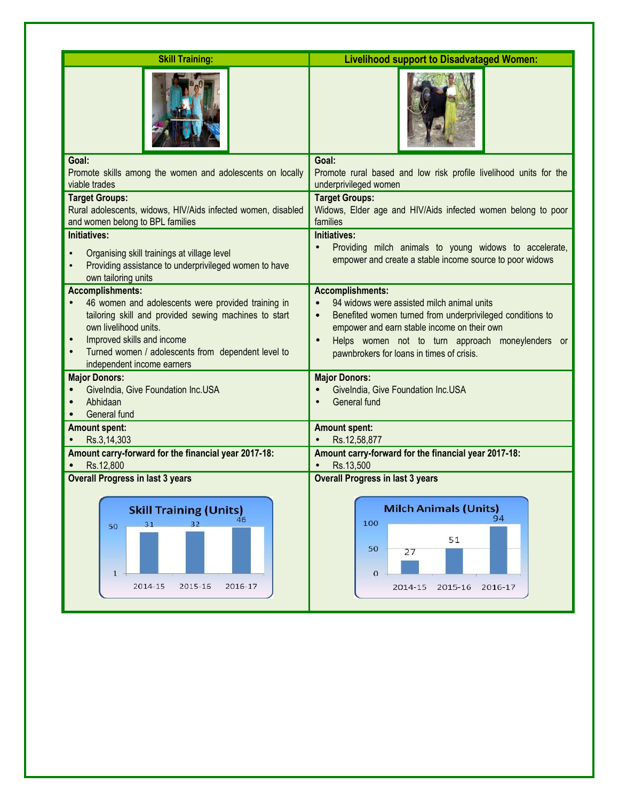| <b>Skill Training:</b>                                                                                                                                                                                                                                                                         | <b>Livelihood support to Disadvataged Women:</b>                                                                                                                                                                                                                                                             |
|------------------------------------------------------------------------------------------------------------------------------------------------------------------------------------------------------------------------------------------------------------------------------------------------|--------------------------------------------------------------------------------------------------------------------------------------------------------------------------------------------------------------------------------------------------------------------------------------------------------------|
|                                                                                                                                                                                                                                                                                                |                                                                                                                                                                                                                                                                                                              |
| Goal:<br>Promote skills among the women and adolescents on locally<br>viable trades                                                                                                                                                                                                            | Goal:<br>Promote rural based and low risk profile livelihood units for the<br>underprivileged women                                                                                                                                                                                                          |
| <b>Target Groups:</b><br>Rural adolescents, widows, HIV/Aids infected women, disabled<br>and women belong to BPL families                                                                                                                                                                      | <b>Target Groups:</b><br>Widows, Elder age and HIV/Aids infected women belong to poor<br>families                                                                                                                                                                                                            |
| <b>Initiatives:</b><br>Organising skill trainings at village level<br>Providing assistance to underprivileged women to have<br>own tailoring units                                                                                                                                             | <b>Initiatives:</b><br>Providing milch animals to young widows to accelerate,<br>empower and create a stable income source to poor widows                                                                                                                                                                    |
| <b>Accomplishments:</b><br>46 women and adolescents were provided training in<br>tailoring skill and provided sewing machines to start<br>own livelihood units.<br>Improved skills and income<br>$\bullet$<br>Turned women / adolescents from dependent level to<br>independent income earners | <b>Accomplishments:</b><br>94 widows were assisted milch animal units<br>Benefited women turned from underprivileged conditions to<br>$\bullet$<br>empower and earn stable income on their own<br>Helps women not to turn approach moneylenders or<br>$\bullet$<br>pawnbrokers for loans in times of crisis. |
| <b>Major Donors:</b><br>Givelndia, Give Foundation Inc.USA<br>Abhidaan<br>General fund                                                                                                                                                                                                         | <b>Major Donors:</b><br>Givelndia, Give Foundation Inc.USA<br>General fund                                                                                                                                                                                                                                   |
| <b>Amount spent:</b>                                                                                                                                                                                                                                                                           | <b>Amount spent:</b>                                                                                                                                                                                                                                                                                         |
| Rs.3,14,303<br>Amount carry-forward for the financial year 2017-18:<br>Rs.12,800                                                                                                                                                                                                               | Rs.12,58,877<br>Amount carry-forward for the financial year 2017-18:<br>Rs.13,500                                                                                                                                                                                                                            |
| <b>Overall Progress in last 3 years</b><br><b>Skill Training (Units)</b><br>32<br>31<br>50<br>$\mathbf{1}$<br>2014-15<br>2015-16<br>2016-17                                                                                                                                                    | <b>Overall Progress in last 3 years</b><br><b>Milch Animals (Units)</b><br>94<br>100<br>51<br>50<br>27<br>$\circ$<br>2015-16<br>2014-15<br>2016-17                                                                                                                                                           |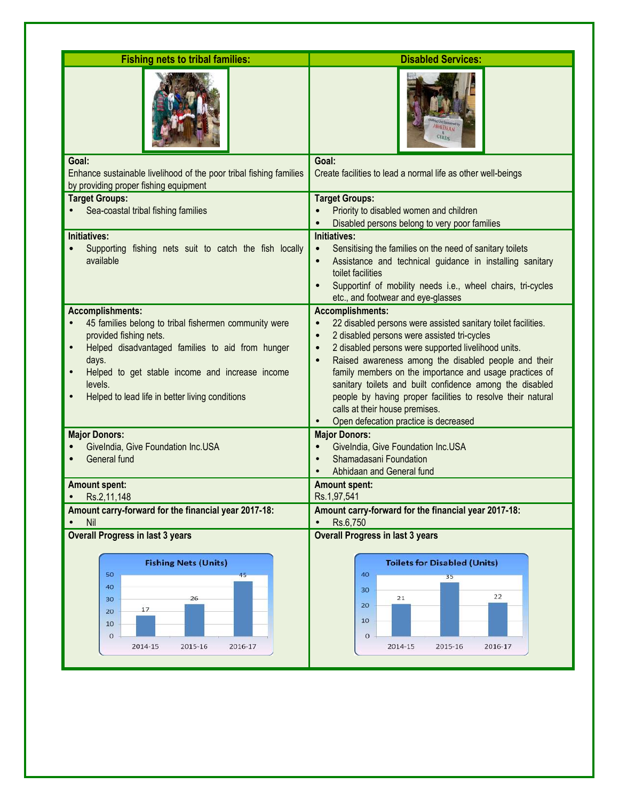| <b>Fishing nets to tribal families:</b>                                                                                                                                                                                                                                                  | <b>Disabled Services:</b>                                                                                                                                                                                                                                                                                                                                                                                                                                                                                                                                      |
|------------------------------------------------------------------------------------------------------------------------------------------------------------------------------------------------------------------------------------------------------------------------------------------|----------------------------------------------------------------------------------------------------------------------------------------------------------------------------------------------------------------------------------------------------------------------------------------------------------------------------------------------------------------------------------------------------------------------------------------------------------------------------------------------------------------------------------------------------------------|
|                                                                                                                                                                                                                                                                                          | CERDS                                                                                                                                                                                                                                                                                                                                                                                                                                                                                                                                                          |
| Goal:<br>Enhance sustainable livelihood of the poor tribal fishing families<br>by providing proper fishing equipment                                                                                                                                                                     | Goal:<br>Create facilities to lead a normal life as other well-beings                                                                                                                                                                                                                                                                                                                                                                                                                                                                                          |
| <b>Target Groups:</b><br>Sea-coastal tribal fishing families                                                                                                                                                                                                                             | <b>Target Groups:</b><br>Priority to disabled women and children<br>Disabled persons belong to very poor families                                                                                                                                                                                                                                                                                                                                                                                                                                              |
| Initiatives:<br>Supporting fishing nets suit to catch the fish locally<br>available                                                                                                                                                                                                      | <b>Initiatives:</b><br>Sensitising the families on the need of sanitary toilets<br>$\bullet$<br>Assistance and technical guidance in installing sanitary<br>$\bullet$<br>toilet facilities<br>Supportinf of mobility needs i.e., wheel chairs, tri-cycles<br>etc., and footwear and eye-glasses                                                                                                                                                                                                                                                                |
| <b>Accomplishments:</b><br>45 families belong to tribal fishermen community were<br>provided fishing nets.<br>Helped disadvantaged families to aid from hunger<br>days.<br>Helped to get stable income and increase income<br>levels.<br>Helped to lead life in better living conditions | <b>Accomplishments:</b><br>22 disabled persons were assisted sanitary toilet facilities.<br>2 disabled persons were assisted tri-cycles<br>$\bullet$<br>2 disabled persons were supported livelihood units.<br>$\bullet$<br>Raised awareness among the disabled people and their<br>$\bullet$<br>family members on the importance and usage practices of<br>sanitary toilets and built confidence among the disabled<br>people by having proper facilities to resolve their natural<br>calls at their house premises.<br>Open defecation practice is decreased |
| <b>Major Donors:</b><br>Givelndia, Give Foundation Inc.USA<br>General fund                                                                                                                                                                                                               | <b>Major Donors:</b><br>Givelndia, Give Foundation Inc.USA<br>Shamadasani Foundation<br>Abhidaan and General fund                                                                                                                                                                                                                                                                                                                                                                                                                                              |
| <b>Amount spent:</b><br>Rs.2,11,148                                                                                                                                                                                                                                                      | <b>Amount spent:</b><br>Rs.1,97,541                                                                                                                                                                                                                                                                                                                                                                                                                                                                                                                            |
| Amount carry-forward for the financial year 2017-18:<br>Nil                                                                                                                                                                                                                              | Amount carry-forward for the financial year 2017-18:<br>Rs.6,750                                                                                                                                                                                                                                                                                                                                                                                                                                                                                               |
| <b>Overall Progress in last 3 years</b>                                                                                                                                                                                                                                                  | <b>Overall Progress in last 3 years</b>                                                                                                                                                                                                                                                                                                                                                                                                                                                                                                                        |
| <b>Fishing Nets (Units)</b><br>50<br>45<br>40<br>26<br>30<br>17<br>20<br>10<br>$\overline{O}$<br>2014-15<br>2015-16<br>2016-17                                                                                                                                                           | <b>Toilets for Disabled (Units)</b><br>40<br>35<br>30<br>22<br>21<br>20<br>10<br>$\circ$<br>2014-15<br>2015-16<br>2016-17                                                                                                                                                                                                                                                                                                                                                                                                                                      |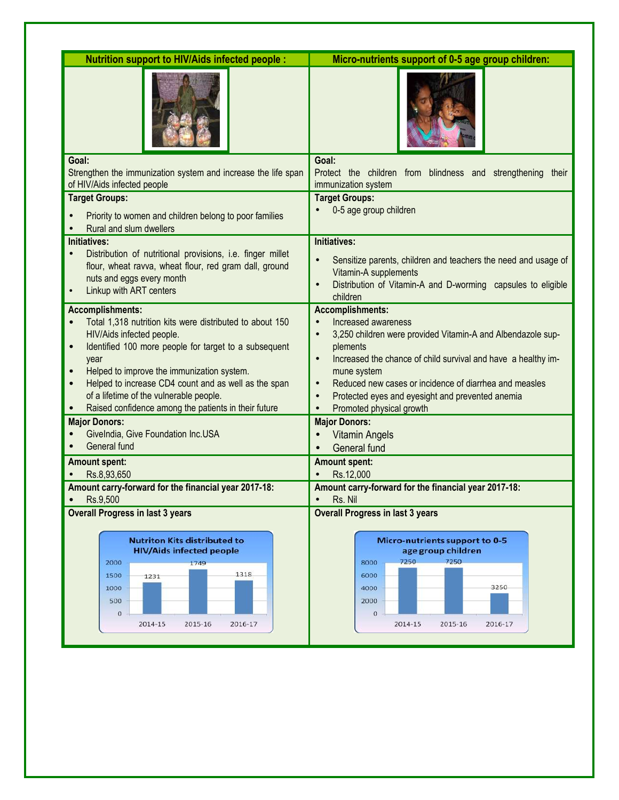| <b>Nutrition support to HIV/Aids infected people:</b>                                                                                                                                                                                                                                                                                                                                      | Micro-nutrients support of 0-5 age group children:                                                                                                                                                                                                                                                                                                                                                                   |  |
|--------------------------------------------------------------------------------------------------------------------------------------------------------------------------------------------------------------------------------------------------------------------------------------------------------------------------------------------------------------------------------------------|----------------------------------------------------------------------------------------------------------------------------------------------------------------------------------------------------------------------------------------------------------------------------------------------------------------------------------------------------------------------------------------------------------------------|--|
|                                                                                                                                                                                                                                                                                                                                                                                            |                                                                                                                                                                                                                                                                                                                                                                                                                      |  |
| Goal:<br>Strengthen the immunization system and increase the life span<br>of HIV/Aids infected people                                                                                                                                                                                                                                                                                      | Goal:<br>Protect the children from blindness and strengthening their<br>immunization system                                                                                                                                                                                                                                                                                                                          |  |
| <b>Target Groups:</b>                                                                                                                                                                                                                                                                                                                                                                      | <b>Target Groups:</b>                                                                                                                                                                                                                                                                                                                                                                                                |  |
| Priority to women and children belong to poor families<br>Rural and slum dwellers                                                                                                                                                                                                                                                                                                          | 0-5 age group children                                                                                                                                                                                                                                                                                                                                                                                               |  |
| Initiatives:<br>Distribution of nutritional provisions, i.e. finger millet<br>$\bullet$<br>flour, wheat ravva, wheat flour, red gram dall, ground<br>nuts and eggs every month<br>Linkup with ART centers                                                                                                                                                                                  | Initiatives:<br>Sensitize parents, children and teachers the need and usage of<br>$\bullet$<br>Vitamin-A supplements<br>Distribution of Vitamin-A and D-worming capsules to eligible<br>$\bullet$<br>children                                                                                                                                                                                                        |  |
| <b>Accomplishments:</b><br>Total 1,318 nutrition kits were distributed to about 150<br>HIV/Aids infected people.<br>Identified 100 more people for target to a subsequent<br>year<br>Helped to improve the immunization system.<br>Helped to increase CD4 count and as well as the span<br>of a lifetime of the vulnerable people.<br>Raised confidence among the patients in their future | <b>Accomplishments:</b><br>Increased awareness<br>$\bullet$<br>3,250 children were provided Vitamin-A and Albendazole sup-<br>$\bullet$<br>plements<br>Increased the chance of child survival and have a healthy im-<br>$\bullet$<br>mune system<br>Reduced new cases or incidence of diarrhea and measles<br>$\bullet$<br>Protected eyes and eyesight and prevented anemia<br>$\bullet$<br>Promoted physical growth |  |
| <b>Major Donors:</b><br>Givelndia, Give Foundation Inc.USA<br>General fund                                                                                                                                                                                                                                                                                                                 | <b>Major Donors:</b><br><b>Vitamin Angels</b><br><b>General fund</b>                                                                                                                                                                                                                                                                                                                                                 |  |
| <b>Amount spent:</b><br>Rs.8,93,650                                                                                                                                                                                                                                                                                                                                                        | <b>Amount spent:</b><br>Rs.12.000                                                                                                                                                                                                                                                                                                                                                                                    |  |
| Amount carry-forward for the financial year 2017-18:<br>Rs.9,500                                                                                                                                                                                                                                                                                                                           | Amount carry-forward for the financial year 2017-18:<br>Rs. Nil                                                                                                                                                                                                                                                                                                                                                      |  |
| <b>Overall Progress in last 3 years</b>                                                                                                                                                                                                                                                                                                                                                    | <b>Overall Progress in last 3 years</b>                                                                                                                                                                                                                                                                                                                                                                              |  |
| <b>Nutriton Kits distributed to</b><br><b>HIV/Aids infected people</b><br>2000<br>1749<br>1318<br>1500<br>1231<br>1000<br>500<br>$\circ$<br>2014-15<br>2015-16<br>2016-17                                                                                                                                                                                                                  | Micro-nutrients support to 0-5<br>age group children<br>7250<br>7250<br>8000<br>6000<br>3250<br>4000<br>2000<br>$\circ$<br>2014-15<br>2015-16<br>2016-17                                                                                                                                                                                                                                                             |  |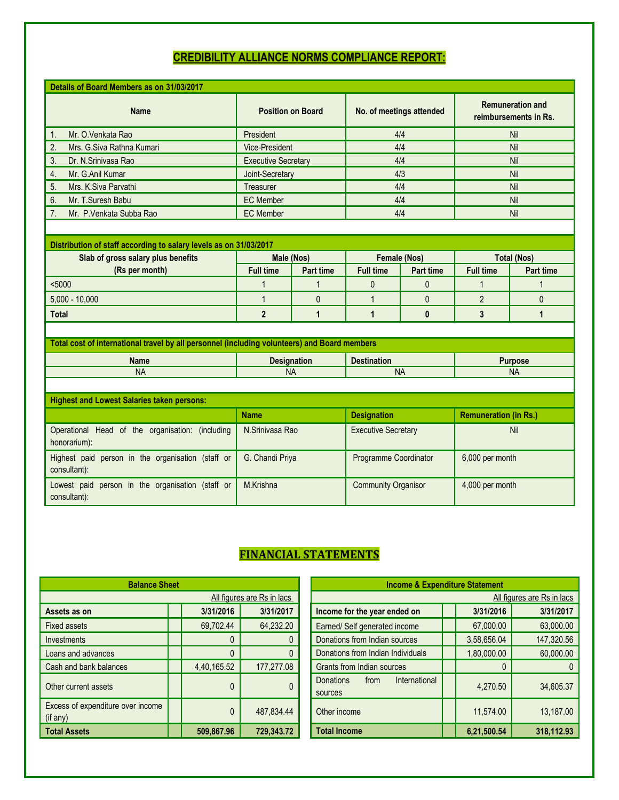# **CREDIBILITY ALLIANCE NORMS COMPLIANCE REPORT:**

| Details of Board Members as on 31/03/2017                                                    |                                |                    |                            |                  |                                                  |                  |
|----------------------------------------------------------------------------------------------|--------------------------------|--------------------|----------------------------|------------------|--------------------------------------------------|------------------|
| <b>Name</b>                                                                                  | <b>Position on Board</b>       |                    | No. of meetings attended   |                  | <b>Remuneration and</b><br>reimbursements in Rs. |                  |
| Mr. O.Venkata Rao<br>1.                                                                      | President                      |                    | 4/4                        |                  | Nil                                              |                  |
| 2.<br>Mrs. G.Siva Rathna Kumari                                                              | Vice-President                 |                    | 4/4                        |                  | Nil                                              |                  |
| 3.<br>Dr. N.Sriniyasa Rao                                                                    | <b>Executive Secretary</b>     |                    | 4/4                        |                  | Nil                                              |                  |
| 4.<br>Mr. G.Anil Kumar                                                                       | Joint-Secretary                |                    | 4/3                        |                  | Nil                                              |                  |
| 5.<br>Mrs. K.Siva Parvathi                                                                   | Treasurer                      |                    | 4/4                        |                  | Nil                                              |                  |
| 6.<br>Mr. T.Suresh Babu                                                                      | <b>EC</b> Member               |                    |                            | 4/4              |                                                  | Nil              |
| Mr. P. Venkata Subba Rao<br>7.                                                               | <b>EC</b> Member               |                    |                            | 4/4              |                                                  | Nil              |
|                                                                                              |                                |                    |                            |                  |                                                  |                  |
| Distribution of staff according to salary levels as on 31/03/2017                            |                                |                    |                            |                  |                                                  |                  |
| Slab of gross salary plus benefits                                                           |                                | Male (Nos)         |                            | Female (Nos)     | <b>Total (Nos)</b>                               |                  |
| (Rs per month)                                                                               | <b>Full time</b>               | <b>Part time</b>   | <b>Full time</b>           | <b>Part time</b> | <b>Full time</b>                                 | <b>Part time</b> |
| $5000$                                                                                       | $\mathbf 1$                    | 1                  | $\mathbf{0}$               | 0                | 1                                                |                  |
| $5,000 - 10,000$                                                                             | $\mathbf{1}$                   | $\mathbf 0$        | $\mathbf{1}$               | $\overline{0}$   | $\overline{2}$                                   | $\mathbf{0}$     |
| <b>Total</b>                                                                                 | $\overline{2}$<br>$\mathbf{1}$ |                    | $\mathbf{1}$               | $\bf{0}$         | 3                                                | $\mathbf{1}$     |
|                                                                                              |                                |                    |                            |                  |                                                  |                  |
| Total cost of international travel by all personnel (including volunteers) and Board members |                                |                    |                            |                  |                                                  |                  |
| <b>Name</b>                                                                                  |                                | <b>Designation</b> | <b>Destination</b>         |                  |                                                  | <b>Purpose</b>   |
| <b>NA</b>                                                                                    |                                | <b>NA</b>          | <b>NA</b>                  |                  | <b>NA</b>                                        |                  |
|                                                                                              |                                |                    |                            |                  |                                                  |                  |
| <b>Highest and Lowest Salaries taken persons:</b>                                            |                                |                    |                            |                  |                                                  |                  |
|                                                                                              | <b>Name</b>                    |                    | <b>Designation</b>         |                  | <b>Remuneration (in Rs.)</b>                     |                  |
| Operational Head of the organisation: (including<br>honorarium):                             | N.Sriniyasa Rao                |                    | <b>Executive Secretary</b> |                  | Nil                                              |                  |
| Highest paid person in the organisation (staff or<br>consultant):                            | G. Chandi Priya                |                    | Programme Coordinator      |                  | 6,000 per month                                  |                  |
| Lowest paid person in the organisation (staff or<br>consultant):                             | M.Krishna                      |                    | <b>Community Organisor</b> |                  | 4,000 per month                                  |                  |

# **FINANCIAL STATEMENTS**

| <b>Balance Sheet</b>                          | <b>Income &amp; Expenditure Statement</b> |            |                                                      |  |            |
|-----------------------------------------------|-------------------------------------------|------------|------------------------------------------------------|--|------------|
|                                               |                                           |            | All                                                  |  |            |
| Assets as on                                  | 3/31/2016                                 | 3/31/2017  | Income for the year ended on                         |  | 3/31/201   |
| <b>Fixed assets</b>                           | 69,702.44                                 | 64,232.20  | Earned/ Self generated income                        |  | 67,000.0   |
| <b>Investments</b>                            |                                           |            | Donations from Indian sources                        |  | 3,58,656.0 |
| Loans and advances                            |                                           |            | Donations from Indian Individuals                    |  | 1,80,000.0 |
| Cash and bank balances                        | 4,40,165.52                               | 177,277.08 | Grants from Indian sources                           |  |            |
| Other current assets                          | $\Omega$                                  |            | International<br><b>Donations</b><br>from<br>sources |  | 4,270.5    |
| Excess of expenditure over income<br>(if any) | 0                                         | 487,834.44 | Other income                                         |  | 11,574.0   |
| <b>Total Assets</b>                           | 509.867.96                                | 729,343.72 | <b>Total Income</b>                                  |  | 6,21,500.5 |

| <b>Balance Sheet</b>                          |              |            | <b>Income &amp; Expenditure Statement</b>            |                            |            |  |  |  |
|-----------------------------------------------|--------------|------------|------------------------------------------------------|----------------------------|------------|--|--|--|
| All figures are Rs in lacs                    |              |            |                                                      | All figures are Rs in lacs |            |  |  |  |
| Assets as on                                  | 3/31/2016    | 3/31/2017  | Income for the year ended on                         | 3/31/2016                  | 3/31/2017  |  |  |  |
| Fixed assets                                  | 69,702.44    | 64,232.20  | Earned/ Self generated income                        | 67,000.00                  | 63,000.00  |  |  |  |
| Investments                                   |              |            | Donations from Indian sources                        | 3,58,656.04                | 147,320.56 |  |  |  |
| Loans and advances                            |              |            | Donations from Indian Individuals                    | 1,80,000.00                | 60,000.00  |  |  |  |
| Cash and bank balances                        | 4,40,165.52  | 177,277.08 | Grants from Indian sources                           |                            | $\Omega$   |  |  |  |
| Other current assets                          | $\mathbf{0}$ |            | <b>Donations</b><br>International<br>from<br>sources | 4,270.50                   | 34,605.37  |  |  |  |
| Excess of expenditure over income<br>(if any) | 0            | 487,834.44 | Other income                                         | 11,574.00                  | 13,187.00  |  |  |  |
| <b>Total Assets</b>                           | 509,867.96   | 729,343.72 | <b>Total Income</b>                                  | 6,21,500.54                | 318.112.93 |  |  |  |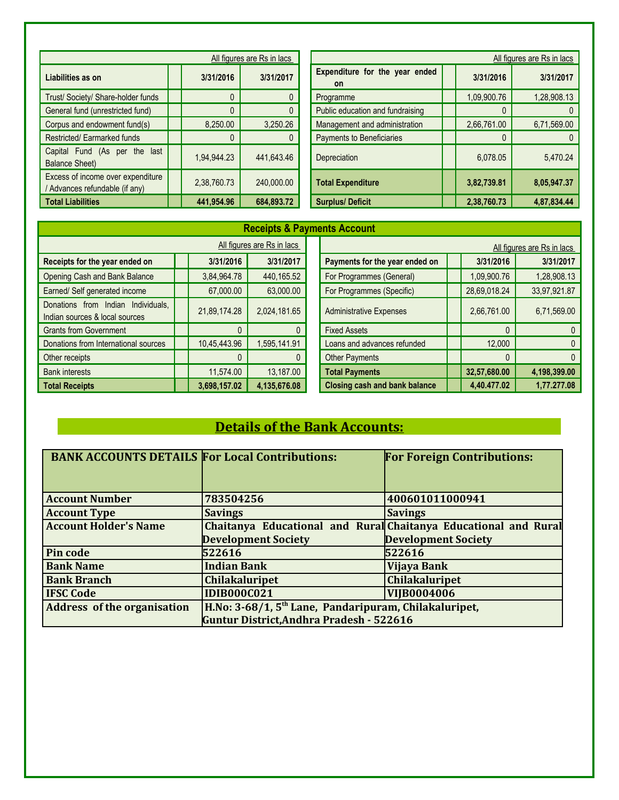| All figures are Rs in lacs                                          |             |            | All figures are Rs in lacs                  |             |              |  |  |
|---------------------------------------------------------------------|-------------|------------|---------------------------------------------|-------------|--------------|--|--|
| Liabilities as on                                                   | 3/31/2016   | 3/31/2017  | Expenditure for the year ended<br><b>on</b> | 3/31/2016   | 3/31/2017    |  |  |
| Trust/ Society/ Share-holder funds                                  |             |            | Programme                                   | 1,09,900.76 | 1,28,908.13  |  |  |
| General fund (unrestricted fund)                                    |             |            | Public education and fundraising            |             | $\mathbf{0}$ |  |  |
| Corpus and endowment fund(s)                                        | 8.250.00    | 3,250.26   | Management and administration               | 2,66,761.00 | 6,71,569.00  |  |  |
| Restricted/Earmarked funds                                          |             |            | Payments to Beneficiaries                   |             | $\mathbf{0}$ |  |  |
| Capital Fund (As per the last<br><b>Balance Sheet)</b>              | 1,94,944.23 | 441,643.46 | Depreciation                                | 6,078.05    | 5,470.24     |  |  |
| Excess of income over expenditure<br>/ Advances refundable (if any) | 2,38,760.73 | 240,000,00 | <b>Total Expenditure</b>                    | 3,82,739.81 | 8,05,947.37  |  |  |
| <b>Total Liabilities</b>                                            | 441,954.96  | 684,893.72 | <b>Surplus/Deficit</b>                      | 2,38,760.73 | 4.87.834.44  |  |  |

| <b>Receipts &amp; Payments Account</b>                               |                            |              |  |                                      |  |                            |              |  |  |
|----------------------------------------------------------------------|----------------------------|--------------|--|--------------------------------------|--|----------------------------|--------------|--|--|
|                                                                      | All figures are Rs in lacs |              |  |                                      |  | All figures are Rs in lacs |              |  |  |
| Receipts for the year ended on                                       | 3/31/2016                  | 3/31/2017    |  | Payments for the year ended on       |  | 3/31/2016                  | 3/31/2017    |  |  |
| Opening Cash and Bank Balance                                        | 3,84,964.78                | 440,165.52   |  | For Programmes (General)             |  | 1,09,900.76                | 1,28,908.13  |  |  |
| Earned/ Self generated income                                        | 67,000.00                  | 63,000.00    |  | For Programmes (Specific)            |  | 28,69,018.24               | 33,97,921.87 |  |  |
| Donations from Indian Individuals.<br>Indian sources & local sources | 21,89,174.28               | 2,024,181.65 |  | <b>Administrative Expenses</b>       |  | 2,66,761.00                | 6,71,569.00  |  |  |
| <b>Grants from Government</b>                                        |                            |              |  | <b>Fixed Assets</b>                  |  |                            | $\mathbf{0}$ |  |  |
| Donations from International sources                                 | 10,45,443.96               | ,595,141.91  |  | Loans and advances refunded          |  | 12,000                     | $\mathbf{0}$ |  |  |
| Other receipts                                                       |                            |              |  | <b>Other Payments</b>                |  |                            | $\mathbf{0}$ |  |  |
| <b>Bank interests</b>                                                | 11,574.00                  | 13,187.00    |  | <b>Total Payments</b>                |  | 32,57,680.00               | 4,198,399.00 |  |  |
| <b>Total Receipts</b>                                                | 3,698,157.02               | 4,135,676.08 |  | <b>Closing cash and bank balance</b> |  | 4,40.477.02                | 1,77.277.08  |  |  |

# **Details of the Bank Accounts:**

| <b>BANK ACCOUNTS DETAILS For Local Contributions:</b> |                                                                   | <b>For Foreign Contributions:</b> |  |  |  |
|-------------------------------------------------------|-------------------------------------------------------------------|-----------------------------------|--|--|--|
|                                                       |                                                                   |                                   |  |  |  |
| <b>Account Number</b>                                 | 783504256                                                         | 400601011000941                   |  |  |  |
| <b>Account Type</b>                                   | <b>Savings</b>                                                    | <b>Savings</b>                    |  |  |  |
| <b>Account Holder's Name</b>                          | Chaitanya Educational and Rural Chaitanya Educational and Rural   |                                   |  |  |  |
|                                                       | <b>Development Society</b>                                        | <b>Development Society</b>        |  |  |  |
| Pin code                                              | 522616                                                            | 522616                            |  |  |  |
| <b>Bank Name</b>                                      | <b>Indian Bank</b>                                                | Vijaya Bank                       |  |  |  |
| <b>Bank Branch</b>                                    | <b>Chilakaluripet</b>                                             | <b>Chilakaluripet</b>             |  |  |  |
| <b>IFSC Code</b>                                      | <b>IDIB000C021</b>                                                | <b>VIIB0004006</b>                |  |  |  |
| <b>Address of the organisation</b>                    | H.No: 3-68/1, 5 <sup>th</sup> Lane, Pandaripuram, Chilakaluripet, |                                   |  |  |  |
|                                                       | <b>Guntur District, Andhra Pradesh - 522616</b>                   |                                   |  |  |  |